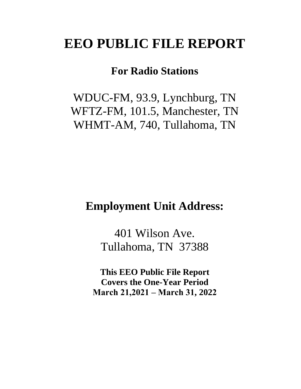# **EEO PUBLIC FILE REPORT**

# **For Radio Stations**

WDUC-FM, 93.9, Lynchburg, TN WFTZ-FM, 101.5, Manchester, TN WHMT-AM, 740, Tullahoma, TN

# **Employment Unit Address:**

401 Wilson Ave. Tullahoma, TN 37388

**This EEO Public File Report Covers the One-Year Period March 21,2021 – March 31, 2022**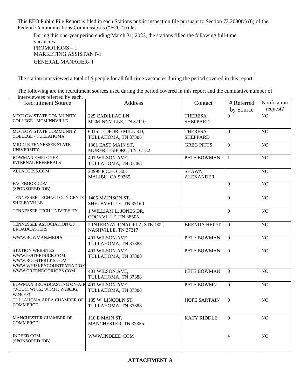This EEO Public File Report is filed in each Stations public inspection file pursuant to Section 73.2080(c) (6) of the Federal Communications Commission's ("FCC") rules.

During this one-year period ending March 31, 2022, the stations filled the following full-time vacancies: PROMOTIONS – 1 MARKETING ASSISTANT-1 GENERAL MANAGER- 1

The station interviewed a total of 5 people for all full-time vacancies during the period covered in this report.

The following are the recruitment sources used during the period covered in this report and the cumulative number of interviewees referred by each.

| <b>Recruitment Source</b>                                                                         | <b>Address</b>                                        | Contact                           | # Referred<br>by Source | Notification<br>request? |
|---------------------------------------------------------------------------------------------------|-------------------------------------------------------|-----------------------------------|-------------------------|--------------------------|
| MOTLOW STATE COMMUNITY<br><b>COLLEGE - MCMINNVILLE</b>                                            | 225 CADILLAC LN,<br>MCMINNVILLE, TN 37110             | <b>THERESA</b><br><b>SHEPPARD</b> | $\Omega$                | N <sub>O</sub>           |
| MOTLOW STATE COMMUNITY<br><b>COLLEGE - TULLAHOMA</b>                                              | 6015 LEDFORD MILL RD,<br>TULLAHOMA, TN 37388          | <b>THERESA</b><br><b>SHEPPARD</b> | $\overline{0}$          | NO                       |
| MIDDLE TENNESSEE STATE<br><b>UNIVERSITY</b>                                                       | 1301 EAST MAIN ST,<br>MURFREESBORO, TN 37132          | <b>GREG PITTS</b>                 | $\overline{0}$          | NO                       |
| <b>BOWMAN EMPLOYEE</b><br><b>INTERNAL REFERRALS</b>                                               | 401 WILSON AVE,<br>TULLAHOMA, TN 37388                | PETE BOWMAN                       | 1                       | NO                       |
| ALLACCESS.COM                                                                                     | 24995 P.C.H. C303<br>MALIBU, CA 90265                 | <b>SHAWN</b><br><b>ALEXANDER</b>  |                         | NO                       |
| FACEBOOK.COM<br>(SPONSORED JOB)                                                                   |                                                       |                                   | $\Omega$                | NO                       |
| TENNESSEE TECHNOLOGY CENTEI<br><b>SHELBYVILLE</b>                                                 | 1405 MADISON ST,<br>SHELBYVILLE, TN 37160             |                                   | $\Omega$                | NO                       |
| TENNESSEE TECH UNIVERSITY                                                                         | 1 WILLIAM L. JONES DR,<br>COOKVILLE, TN 38505         |                                   | $\boldsymbol{0}$        | NO                       |
| TENNESSEE ASSOCIATION OF<br><b>BROADCASTERS</b>                                                   | 2 INTERNATIONAL PLZ, STE. 902,<br>NASHVILLE, TN 37217 | <b>BRENDA HEIDT</b>               | $\Omega$                | N <sub>O</sub>           |
| WWW.BOWMAN.MEDIA                                                                                  | 401 WILSON AVE,<br>TULLAHOMA, TN 37388                | PETE BOWMAN                       | $\overline{0}$          | NO                       |
| <b>STATION WEBSITES</b><br>WWW.939THEDUCK.COM<br>WWW.ROOSTER1015.COM<br>WWW.WHISKEYCOUNTRYRADIO.C | 401 WILSON AVE,<br>TULLAHOMA, TN 37388                | PETE BOWMAN                       | $\Omega$                | NO                       |
| WWW.GREENDOORJOBS.COM                                                                             | 401 WILSON AVE,<br>TULLAHOMA, TN 37388                | PETE BOWMAN                       | $\mathbf{0}$            | NO                       |
| <b>BOWMAN BROADCASTING ON-AIR</b><br>(WDUC, WFTZ, WHMT, W286BG,<br><b>W240EF)</b>                 | 401 WILSON AVE,<br>TULLAHOMA, TN 37388                | PETE BOWMN                        | $\overline{0}$          | N <sub>O</sub>           |
| TULLAHOMA AREA CHAMBER OF<br><b>COMMERCE</b>                                                      | 135 W. LINCOLN ST,<br>TULLAHOMA, TN 37388             | <b>HOPE SARTAIN</b>               | $\overline{0}$          | NO                       |
| MANCHESTER CHAMBER OF<br><b>COMMERCE</b>                                                          | 110 E MAIN ST,<br>MANCHESTER, TN 37355                | <b>KATY RIDDLE</b>                | $\overline{0}$          | NO                       |
| <b>INDEED.COM</b><br>(SPONSORED JOB)                                                              | WWW.INDEED.COM                                        |                                   | $\overline{4}$          | NO                       |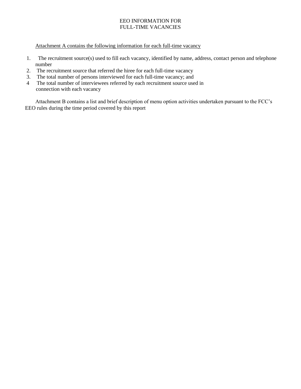### EEO INFORMATION FOR FULL-TIME VACANCIES

Attachment A contains the following information for each full-time vacancy

- 1. The recruitment source(s) used to fill each vacancy, identified by name, address, contact person and telephone number
- 2. The recruitment source that referred the hiree for each full-time vacancy
- 3. The total number of persons interviewed for each full-time vacancy; and
- 4 The total number of interviewees referred by each recruitment source used in connection with each vacancy

Attachment B contains a list and brief description of menu option activities undertaken pursuant to the FCC's EEO rules during the time period covered by this report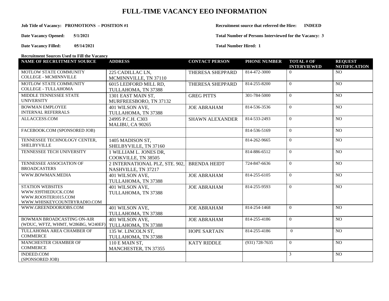## **FULL-TIME VACANCY EEO INFORMATION**

**Date Vacancy Opened: 5/1/2021**

**Date Vacancy Filled: 05/14/2021**

#### **Job Title of Vacancy: PROMOTIONS** – **POSITION** #1 **Recruitment source that referred the Hire: INDEED**

**Total Number of Persons Interviewed for the Vacancy: 3**

**Total Number Hired: 1** 

**Recruitment Sources Used to Fill the Vacancy**

| NAME OF RECRUITMENT SOURCE                | <b>ADDRESS</b>                 | <b>CONTACT PERSON</b>  | <b>PHONE NUMBER</b> | <b>TOTAL # OF</b><br><b>INTERVIEWED</b> | <b>REQUEST</b><br><b>NOTIFICATION</b> |
|-------------------------------------------|--------------------------------|------------------------|---------------------|-----------------------------------------|---------------------------------------|
| MOTLOW STATE COMMUNITY                    | 225 CADILLAC LN,               | THERESA SHEPPARD       | 814-472-3000        | $\Omega$                                | N <sub>O</sub>                        |
| <b>COLLEGE - MCMINNVILLE</b>              | MCMINNVILLE, TN 37110          |                        |                     |                                         |                                       |
| MOTLOW STATE COMMUNITY                    | 6015 LEDFORD MILL RD.          | THERESA SHEPPARD       | 814-255-8200        | $\Omega$                                | NO                                    |
| <b>COLLEGE - TULLAHOMA</b>                | TULLAHOMA, TN 37388            |                        |                     |                                         |                                       |
| MIDDLE TENNESSEE STATE                    | 1301 EAST MAIN ST.             | <b>GREG PITTS</b>      | 301-784-5000        | $\Omega$                                | NO                                    |
| <b>UNIVERSITY</b>                         | MURFREESBORO, TN 37132         |                        |                     |                                         |                                       |
| <b>BOWMAN EMPLOYEE</b>                    | 401 WILSON AVE,                | <b>JOE ABRAHAM</b>     | 814-536-3536        | $\theta$                                | NO                                    |
| <b>INTERNAL REFERRALS</b>                 | TULLAHOMA, TN 37388            |                        |                     |                                         |                                       |
| ALLACCESS.COM                             | 24995 P.C.H. C303              | <b>SHAWN ALEXANDER</b> | 814-533-2493        | $\Omega$                                | N <sub>O</sub>                        |
|                                           | MALIBU, CA 90265               |                        |                     |                                         |                                       |
| FACEBOOK.COM (SPONSORED JOB)              |                                |                        | 814-536-5169        | $\Omega$                                | NO.                                   |
| TENNESSEE TECHNOLOGY CENTER,              | 1405 MADISON ST,               |                        | 814-262-9665        | $\Omega$                                | NO                                    |
| <b>SHELBYVILLE</b>                        | SHELBYVILLE, TN 37160          |                        |                     |                                         |                                       |
| TENNESSEE TECH UNIVERSITY                 | 1 WILLIAM L. JONES DR,         |                        | 814-886-6512        | $\Omega$                                | NO                                    |
|                                           | COOKVILLE, TN 38505            |                        |                     |                                         |                                       |
| TENNESSEE ASSOCIATION OF                  | 2 INTERNATIONAL PLZ, STE. 902, | <b>BRENDA HEIDT</b>    | 724-847-6636        | $\Omega$                                | N <sub>O</sub>                        |
| <b>BROADCASTERS</b>                       | NASHVILLE, TN 37217            |                        |                     |                                         |                                       |
| WWW.BOWMAN.MEDIA                          | 401 WILSON AVE,                | <b>JOE ABRAHAM</b>     | 814-255-6105        | $\Omega$                                | NO.                                   |
|                                           | TULLAHOMA, TN 37388            |                        |                     |                                         |                                       |
| <b>STATION WEBSITES</b>                   | 401 WILSON AVE,                | <b>JOE ABRAHAM</b>     | 814-255-9593        | $\Omega$                                | NO                                    |
| WWW.939THEDUCK.COM<br>WWW.ROOSTER1015.COM | TULLAHOMA, TN 37388            |                        |                     |                                         |                                       |
| WWW.WHISKEYCOUNTRYRADIO.COM               |                                |                        |                     |                                         |                                       |
| WWW.GREENDOORJOBS.COM                     | 401 WILSON AVE,                | <b>JOE ABRAHAM</b>     | $814 - 254 - 1468$  | $\Omega$                                | N <sub>O</sub>                        |
|                                           | TULLAHOMA, TN 37388            |                        |                     |                                         |                                       |
| <b>BOWMAN BROADCASTING ON-AIR</b>         | 401 WILSON AVE,                | <b>JOE ABRAHAM</b>     | 814-255-4186        | $\Omega$                                | NO                                    |
| (WDUC, WFTZ, WHMT, W286BG, W240EF)        | TULLAHOMA, TN 37388            |                        |                     |                                         |                                       |
| TULLAHOMA AREA CHAMBER OF                 | 135 W. LINCOLN ST,             | <b>HOPE SARTAIN</b>    | 814-255-4186        | $\theta$                                | NO                                    |
| <b>COMMERCE</b>                           | TULLAHOMA, TN 37388            |                        |                     |                                         |                                       |
| MANCHESTER CHAMBER OF                     | 110 E MAIN ST,                 | <b>KATY RIDDLE</b>     | $(931) 728 - 7635$  | $\Omega$                                | NO                                    |
| <b>COMMERCE</b>                           | MANCHESTER, TN 37355           |                        |                     |                                         |                                       |
| <b>INDEED.COM</b>                         |                                |                        |                     | 3                                       | NO                                    |
| (SPONSORED JOB)                           |                                |                        |                     |                                         |                                       |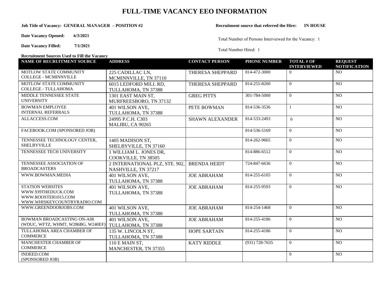## **FULL-TIME VACANCY EEO INFORMATION**

#### **Job Title of Vacancy: GENERAL MANAGER – POSITION #2 Recruitment source that referred the Hire: IN HOUSE**

**Date Vacancy Opened: 6/3/2021**

**Date Vacancy Filled: 7/1/2021**

Total Number of Persons Interviewed for the Vacancy: 1

Total Number Hired: 1

**Recruitment Sources Used to Fill the Vacancy**

| <b>NAME OF RECRUITMENT SOURCE</b>                                                                   | <b>ADDRESS</b>                                        | <b>CONTACT PERSON</b>  | <b>PHONE NUMBER</b> | <b>TOTAL # OF</b><br><b>INTERVIEWED</b> | <b>REQUEST</b><br><b>NOTIFICATION</b> |
|-----------------------------------------------------------------------------------------------------|-------------------------------------------------------|------------------------|---------------------|-----------------------------------------|---------------------------------------|
| MOTLOW STATE COMMUNITY<br><b>COLLEGE - MCMINNVILLE</b>                                              | 225 CADILLAC LN,<br>MCMINNVILLE, TN 37110             | THERESA SHEPPARD       | 814-472-3000        | $\Omega$                                | NO.                                   |
| MOTLOW STATE COMMUNITY<br><b>COLLEGE - TULLAHOMA</b>                                                | 6015 LEDFORD MILL RD,<br>TULLAHOMA, TN 37388          | THERESA SHEPPARD       | 814-255-8200        | $\theta$                                | NO                                    |
| MIDDLE TENNESSEE STATE<br><b>UNIVERSITY</b>                                                         | 1301 EAST MAIN ST.<br>MURFREESBORO, TN 37132          | <b>GREG PITTS</b>      | 301-784-5000        | $\theta$                                | $\overline{NO}$                       |
| <b>BOWMAN EMPLOYEE</b><br><b>INTERNAL REFERRALS</b>                                                 | 401 WILSON AVE,<br>TULLAHOMA, TN 37388                | PETE BOWMAN            | 814-536-3536        |                                         | NO                                    |
| ALLACCESS.COM                                                                                       | 24995 P.C.H. C303<br>MALIBU, CA 90265                 | <b>SHAWN ALEXANDER</b> | 814-533-2493        | $\theta$                                | NO                                    |
| FACEBOOK.COM (SPONSORED JOB)                                                                        |                                                       |                        | 814-536-5169        | $\theta$                                | NO.                                   |
| TENNESSEE TECHNOLOGY CENTER,<br><b>SHELBYVILLE</b>                                                  | 1405 MADISON ST,<br>SHELBYVILLE, TN 37160             |                        | 814-262-9665        | $\theta$                                | NO                                    |
| TENNESSEE TECH UNIVERSITY                                                                           | 1 WILLIAM L. JONES DR,<br>COOKVILLE, TN 38505         |                        | 814-886-6512        | $\theta$                                | NO                                    |
| TENNESSEE ASSOCIATION OF<br><b>BROADCASTERS</b>                                                     | 2 INTERNATIONAL PLZ, STE. 902,<br>NASHVILLE, TN 37217 | <b>BRENDA HEIDT</b>    | 724-847-6636        | $\theta$                                | NO                                    |
| WWW.BOWMAN.MEDIA                                                                                    | 401 WILSON AVE,<br>TULLAHOMA, TN 37388                | <b>JOE ABRAHAM</b>     | 814-255-6105        | $\Omega$                                | NO                                    |
| <b>STATION WEBSITES</b><br>WWW.939THEDUCK.COM<br>WWW.ROOSTER1015.COM<br>WWW.WHISKEYCOUNTRYRADIO.COM | 401 WILSON AVE,<br>TULLAHOMA, TN 37388                | <b>JOE ABRAHAM</b>     | 814-255-9593        | $\theta$                                | NO                                    |
| WWW.GREENDOORJOBS.COM                                                                               | 401 WILSON AVE,<br>TULLAHOMA, TN 37388                | <b>JOE ABRAHAM</b>     | $814 - 254 - 1468$  | $\Omega$                                | NO                                    |
| BOWMAN BROADCASTING ON-AIR<br>(WDUC, WFTZ, WHMT, W286BG, W240EF)                                    | 401 WILSON AVE,<br>TULLAHOMA, TN 37388                | <b>JOE ABRAHAM</b>     | 814-255-4186        | $\theta$                                | NO                                    |
| TULLAHOMA AREA CHAMBER OF<br><b>COMMERCE</b>                                                        | 135 W. LINCOLN ST,<br>TULLAHOMA, TN 37388             | <b>HOPE SARTAIN</b>    | 814-255-4186        | $\Omega$                                | N <sub>O</sub>                        |
| MANCHESTER CHAMBER OF<br><b>COMMERCE</b>                                                            | 110 E MAIN ST,<br>MANCHESTER, TN 37355                | <b>KATY RIDDLE</b>     | $(931) 728 - 7635$  | $\theta$                                | N <sub>O</sub>                        |
| <b>INDEED.COM</b><br>(SPONSORED JOB)                                                                |                                                       |                        |                     | $\theta$                                | NO                                    |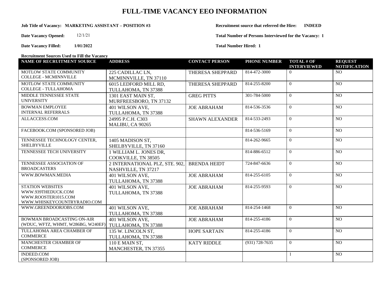## **FULL-TIME VACANCY EEO INFORMATION**

#### **Job Title of Vacancy: MARKETING ASSISTANT – POSITION #3 Recruitment source that referred the Hire: INDEED**

**Date Vacancy Opened:** 12/1/21

**Date Vacancy Filled: 1/01/2022**

**Total Number of Persons Interviewed for the Vacancy: 1**

**Total Number Hired: 1** 

**Recruitment Sources Used to Fill the Vacancy**

| <b>NAME OF RECRUITMENT SOURCE</b>             | <b>ADDRESS</b>                 | <b>CONTACT PERSON</b>  | <b>PHONE NUMBER</b> | <b>TOTAL # OF</b><br><b>INTERVIEWED</b> | <b>REQUEST</b><br><b>NOTIFICATION</b> |
|-----------------------------------------------|--------------------------------|------------------------|---------------------|-----------------------------------------|---------------------------------------|
| MOTLOW STATE COMMUNITY                        | 225 CADILLAC LN,               | THERESA SHEPPARD       | 814-472-3000        | $\Omega$                                | N <sub>O</sub>                        |
| <b>COLLEGE - MCMINNVILLE</b>                  | MCMINNVILLE, TN 37110          |                        |                     |                                         |                                       |
| MOTLOW STATE COMMUNITY                        | 6015 LEDFORD MILL RD,          | THERESA SHEPPARD       | 814-255-8200        | $\Omega$                                | NO                                    |
| <b>COLLEGE - TULLAHOMA</b>                    | TULLAHOMA, TN 37388            |                        |                     |                                         |                                       |
| MIDDLE TENNESSEE STATE                        | 1301 EAST MAIN ST.             | <b>GREG PITTS</b>      | 301-784-5000        | $\Omega$                                | NO                                    |
| <b>UNIVERSITY</b>                             | MURFREESBORO, TN 37132         |                        |                     |                                         |                                       |
| <b>BOWMAN EMPLOYEE</b>                        | 401 WILSON AVE,                | <b>JOE ABRAHAM</b>     | 814-536-3536        | $\Omega$                                | NO                                    |
| <b>INTERNAL REFERRALS</b>                     | TULLAHOMA, TN 37388            |                        |                     |                                         |                                       |
| ALLACCESS.COM                                 | 24995 P.C.H. C303              | <b>SHAWN ALEXANDER</b> | 814-533-2493        | $\Omega$                                | N <sub>O</sub>                        |
|                                               | MALIBU, CA 90265               |                        |                     |                                         |                                       |
| FACEBOOK.COM (SPONSORED JOB)                  |                                |                        | 814-536-5169        | $\Omega$                                | NO.                                   |
| TENNESSEE TECHNOLOGY CENTER,                  | 1405 MADISON ST,               |                        | 814-262-9665        | $\Omega$                                | NO                                    |
| <b>SHELBYVILLE</b>                            | SHELBYVILLE, TN 37160          |                        |                     |                                         |                                       |
| TENNESSEE TECH UNIVERSITY                     | 1 WILLIAM L. JONES DR,         |                        | 814-886-6512        | $\Omega$                                | NO                                    |
|                                               | COOKVILLE, TN 38505            |                        |                     |                                         |                                       |
| TENNESSEE ASSOCIATION OF                      | 2 INTERNATIONAL PLZ, STE. 902. | <b>BRENDA HEIDT</b>    | 724-847-6636        | $\Omega$                                | N <sub>O</sub>                        |
| <b>BROADCASTERS</b>                           | NASHVILLE, TN 37217            |                        |                     |                                         |                                       |
| WWW.BOWMAN.MEDIA                              | 401 WILSON AVE,                | <b>JOE ABRAHAM</b>     | 814-255-6105        | $\Omega$                                | NO.                                   |
|                                               | TULLAHOMA, TN 37388            |                        |                     |                                         |                                       |
| <b>STATION WEBSITES</b><br>WWW.939THEDUCK.COM | 401 WILSON AVE,                | <b>JOE ABRAHAM</b>     | 814-255-9593        | $\Omega$                                | NO                                    |
| WWW.ROOSTER1015.COM                           | TULLAHOMA, TN 37388            |                        |                     |                                         |                                       |
| WWW.WHISKEYCOUNTRYRADIO.COM                   |                                |                        |                     |                                         |                                       |
| WWW.GREENDOORJOBS.COM                         | 401 WILSON AVE,                | <b>JOE ABRAHAM</b>     | 814-254-1468        | $\Omega$                                | N <sub>O</sub>                        |
|                                               | TULLAHOMA, TN 37388            |                        |                     |                                         |                                       |
| BOWMAN BROADCASTING ON-AIR                    | 401 WILSON AVE,                | <b>JOE ABRAHAM</b>     | 814-255-4186        | $\theta$                                | NO                                    |
| (WDUC, WFTZ, WHMT, W286BG, W240EF)            | TULLAHOMA, TN 37388            |                        |                     |                                         |                                       |
| TULLAHOMA AREA CHAMBER OF                     | 135 W. LINCOLN ST,             | <b>HOPE SARTAIN</b>    | 814-255-4186        | $\Omega$                                | N <sub>O</sub>                        |
| <b>COMMERCE</b>                               | TULLAHOMA, TN 37388            |                        |                     |                                         |                                       |
| MANCHESTER CHAMBER OF                         | 110 E MAIN ST,                 | <b>KATY RIDDLE</b>     | $(931) 728 - 7635$  | $\Omega$                                | NO                                    |
| <b>COMMERCE</b>                               | MANCHESTER, TN 37355           |                        |                     |                                         |                                       |
| <b>INDEED.COM</b><br>(SPONSORED JOB)          |                                |                        |                     |                                         | NO                                    |
|                                               |                                |                        |                     |                                         |                                       |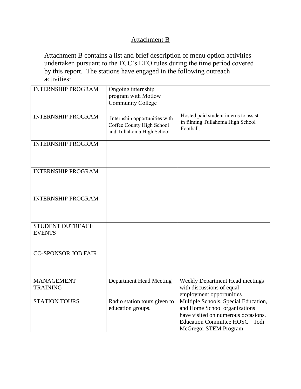# Attachment B

Attachment B contains a list and brief description of menu option activities undertaken pursuant to the FCC's EEO rules during the time period covered by this report. The stations have engaged in the following outreach activities:

| <b>INTERNSHIP PROGRAM</b>            | Ongoing internship<br>program with Motlow<br><b>Community College</b>                   |                                                                                                                                                                                 |
|--------------------------------------|-----------------------------------------------------------------------------------------|---------------------------------------------------------------------------------------------------------------------------------------------------------------------------------|
| <b>INTERNSHIP PROGRAM</b>            | Internship opportunities with<br>Coffee County High School<br>and Tullahoma High School | Hosted paid student interns to assist<br>in filming Tullahoma High School<br>Football.                                                                                          |
| <b>INTERNSHIP PROGRAM</b>            |                                                                                         |                                                                                                                                                                                 |
| <b>INTERNSHIP PROGRAM</b>            |                                                                                         |                                                                                                                                                                                 |
| <b>INTERNSHIP PROGRAM</b>            |                                                                                         |                                                                                                                                                                                 |
| STUDENT OUTREACH<br><b>EVENTS</b>    |                                                                                         |                                                                                                                                                                                 |
| <b>CO-SPONSOR JOB FAIR</b>           |                                                                                         |                                                                                                                                                                                 |
| <b>MANAGEMENT</b><br><b>TRAINING</b> | <b>Department Head Meeting</b>                                                          | <b>Weekly Department Head meetings</b><br>with discussions of equal<br>employment opportunities                                                                                 |
| <b>STATION TOURS</b>                 | Radio station tours given to<br>education groups.                                       | Multiple Schools, Special Education,<br>and Home School organizations<br>have visited on numerous occasions.<br>Education Committee HOSC - Jodi<br><b>McGregor STEM Program</b> |